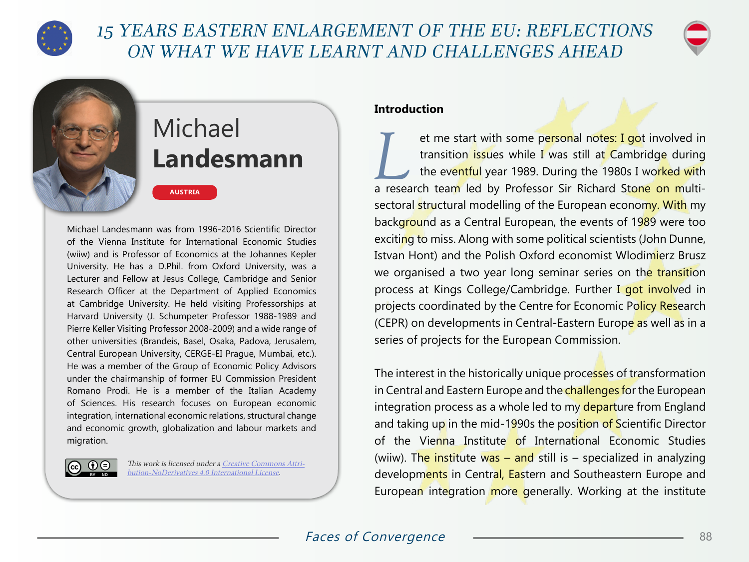

# 15 YEARS EASTERN ENLARGEMENT OF THE EU: REFLECTIONS ON WHAT WE HAVE LEARNT AND CHALLENGES AHEAD



# Michael **Landesmann**

**AUSTRIA**

Michael Landesmann was from 1996-2016 Scientific Director of the Vienna Institute for International Economic Studies (wiiw) and is Professor of Economics at the Johannes Kepler University. He has a D.Phil. from Oxford University, was a Lecturer and Fellow at Jesus College, Cambridge and Senior Research Officer at the Department of Applied Economics at Cambridge University. He held visiting Professorships at Harvard University (J. Schumpeter Professor 1988-1989 and Pierre Keller Visiting Professor 2008-2009) and a wide range of other universities (Brandeis, Basel, Osaka, Padova, Jerusalem, Central European University, CERGE-EI Prague, Mumbai, etc.). He was a member of the Group of Economic Policy Advisors under the chairmanship of former EU Commission President Romano Prodi. He is a member of the Italian Academy of Sciences. His research focuses on European economic integration, international economic relations, structural change and economic growth, globalization and labour markets and migration.



This work is licensed under a [Creative Commons Attri](https://creativecommons.org/licenses/by-nd/4.0/)[bution-NoDerivatives 4.0 International License](https://creativecommons.org/licenses/by-nd/4.0/).

#### **Introduction**

et me start with some personal notes: I got involved in<br>transition issues while I was still at Cambridge during<br>the eventful year 1989. During the 1980s I worked with transition issues while I was still at Cambridge during a research team led by Professor Sir Richard Stone on multisectoral structural modelling of the European economy. With my background as a Central European, the events of 1989 were too exciting to miss. Along with some political scientists (John Dunne, Istvan Hont) and the Polish Oxford economist Wlodimierz Brusz we organised a two year long seminar series on the transition process at Kings College/Cambridge. Further I got involved in projects coordinated by the Centre for Economic Policy Research (CEPR) on developments in Central-Eastern Europe as well as in a series of projects for the European Commission.

The interest in the historically unique processes of transformation in Central and Eastern Europe and the challenges for the European integration process as a whole led to my departure from England and taking up in the mid-1990s the position of Scientific Director of the Vienna Institute of International Economic Studies (wiiw). The institute was – and still is – specialized in analyzing developments in Central, Eastern and Southeastern Europe and European integration more generally. Working at the institute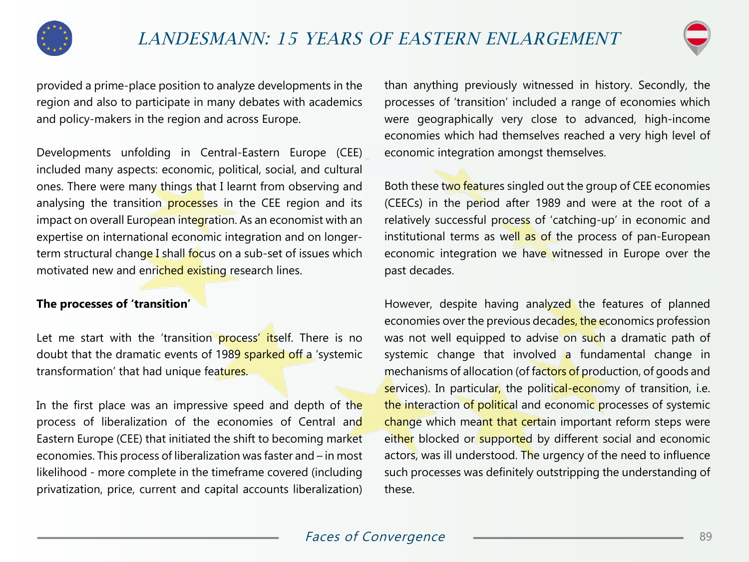



provided a prime-place position to analyze developments in the region and also to participate in many debates with academics and policy-makers in the region and across Europe.

Developments unfolding in Central-Eastern Europe (CEE) included many aspects: economic, political, social, and cultural ones. There were many things that I learnt from observing and analysing the transition processes in the CEE region and its impact on overall European integration. As an economist with an expertise on international economic integration and on longerterm structural change I shall focus on a sub-set of issues which motivated new and enriched existing research lines.

#### **The processes of 'transition'**

Let me start with the 'transition process' itself. There is no doubt that the dramatic events of 1989 sparked off a 'systemic transformation' that had unique features.

In the first place was an impressive speed and depth of the process of liberalization of the economies of Central and Eastern Europe (CEE) that initiated the shift to becoming market economies. This process of liberalization was faster and – in most likelihood - more complete in the timeframe covered (including privatization, price, current and capital accounts liberalization)

than anything previously witnessed in history. Secondly, the processes of 'transition' included a range of economies which were geographically very close to advanced, high-income economies which had themselves reached a very high level of economic integration amongst themselves.

Both these two features singled out the group of CEE economies (CEECs) in the period after 1989 and were at the root of a relatively successful process of 'catching-up' in economic and institutional terms as well as of the process of pan-European economic integration we have witnessed in Europe over the past decades.

However, despite having analyzed the features of planned economies over the previous decades, the economics profession was not well equipped to advise on such a dramatic path of systemic change that involved a fundamental change in mechanisms of allocation (of factors of production, of goods and services). In particular, the political-economy of transition, i.e. the interaction of political and economic processes of systemic change which meant that certain important reform steps were either blocked or supported by different social and economic actors, was ill understood. The urgency of the need to influence such processes was definitely outstripping the understanding of these.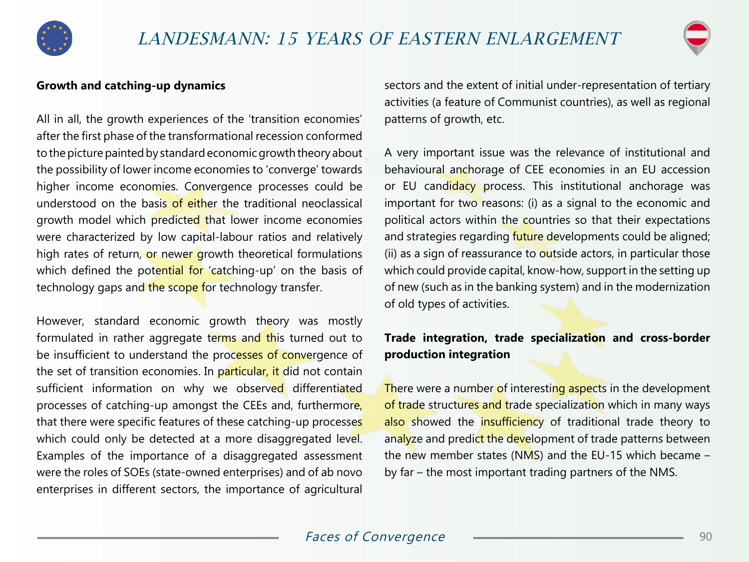



#### **Growth and catching-up dynamics**

All in all, the growth experiences of the 'transition economies' after the first phase of the transformational recession conformed to the picture painted by standard economic growth theory about the possibility of lower income economies to 'converge' towards higher income economies. Convergence processes could be understood on the basis of either the traditional neoclassical growth model which predicted that lower income economies were characterized by low capital-labour ratios and relatively high rates of return, or newer growth theoretical formulations which defined the potential for 'catching-up' on the basis of technology gaps and the scope for technology transfer.

However, standard economic growth theory was mostly formulated in rather aggregate terms and this turned out to be insufficient to understand the processes of convergence of the set of transition economies. In particular, it did not contain sufficient information on why we observed differentiated processes of catching-up amongst the CEEs and, furthermore, that there were specific features of these catching-up processes which could only be detected at a more disaggregated level. Examples of the importance of a disaggregated assessment were the roles of SOEs (state-owned enterprises) and of ab novo enterprises in different sectors, the importance of agricultural sectors and the extent of initial under-representation of tertiary activities (a feature of Communist countries), as well as regional patterns of growth, etc.

A very important issue was the relevance of institutional and behavioural anchorage of CEE economies in an EU accession or EU candidacy process. This institutional anchorage was important for two reasons: (i) as a signal to the economic and political actors within the countries so that their expectations and strategies regarding future developments could be aligned; (ii) as a sign of reassurance to outside actors, in particular those which could provide capital, know-how, support in the setting up of new (such as in the banking system) and in the modernization of old types of activities.

## **Trade integration, trade specialization and cross-border production integration**

There were a number of interesting aspects in the development of trade structures and trade specialization which in many ways also showed the insufficiency of traditional trade theory to analyze and predict the development of trade patterns between the new member states (NMS) and the EU-15 which became  $$ by far – the most important trading partners of the NMS.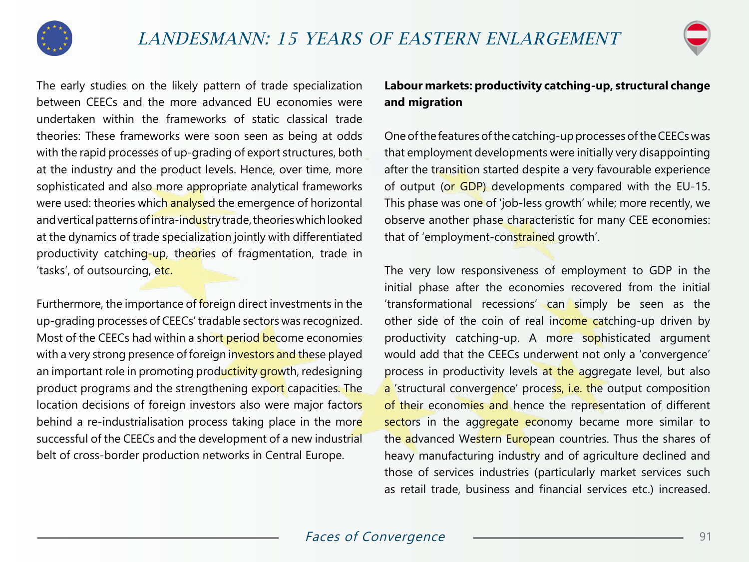



The early studies on the likely pattern of trade specialization between CEECs and the more advanced EU economies were undertaken within the frameworks of static classical trade theories: These frameworks were soon seen as being at odds with the rapid processes of up-grading of export structures, both at the industry and the product levels. Hence, over time, more sophisticated and also more appropriate analytical frameworks were used: theories which analysed the emergence of horizontal and vertical patterns of intra-industry trade, theories which looked at the dynamics of trade specialization jointly with differentiated productivity catching-up, theories of fragmentation, trade in 'tasks', of outsourcing, etc.

Furthermore, the importance of foreign direct investments in the up-grading processes of CEECs' tradable sectors was recognized. Most of the CEECs had within a short period become economies with a very strong presence of foreign investors and these played an important role in promoting productivity growth, redesigning product programs and the strengthening export capacities. The location decisions of foreign investors also were major factors behind a re-industrialisation process taking place in the more successful of the CEECs and the development of a new industrial belt of cross-border production networks in Central Europe.

## **Labour markets: productivity catching-up, structural change and migration**

One of the features of the catching-up processes of the CEECs was that employment developments were initially very disappointing after the transition started despite a very favourable experience of output (or GDP) developments compared with the EU-15. This phase was one of 'job-less growth' while; more recently, we observe another phase characteristic for many CEE economies: that of 'employment-constrained growth'.

The very low responsiveness of employment to GDP in the initial phase after the economies recovered from the initial 'transformational recessions' can simply be seen as the other side of the coin of real income catching-up driven by productivity catching-up. A more sophisticated argument would add that the CEECs underwent not only a 'convergence' process in productivity levels at the aggregate level, but also a 'structural convergence' process, i.e. the output composition of their economies and hence the representation of different sectors in the aggregate economy became more similar to the advanced Western European countries. Thus the shares of heavy manufacturing industry and of agriculture declined and those of services industries (particularly market services such as retail trade, business and financial services etc.) increased.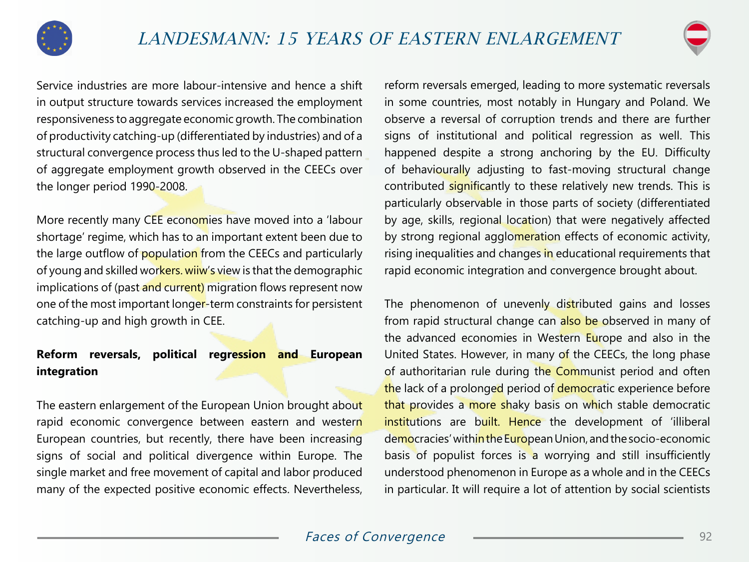



Service industries are more labour-intensive and hence a shift in output structure towards services increased the employment responsiveness to aggregate economic growth. The combination of productivity catching-up (differentiated by industries) and of a structural convergence process thus led to the U-shaped pattern of aggregate employment growth observed in the CEECs over the longer period 1990-2008.

More recently many CEE economies have moved into a 'labour shortage' regime, which has to an important extent been due to the large outflow of population from the CEECs and particularly of young and skilled workers. wiiw's view is that the demographic implications of (past and current) migration flows represent now one of the most important longer-term constraints for persistent catching-up and high growth in CEE.

## **Reform reversals, political regression and European integration**

The eastern enlargement of the European Union brought about rapid economic convergence between eastern and western European countries, but recently, there have been increasing signs of social and political divergence within Europe. The single market and free movement of capital and labor produced many of the expected positive economic effects. Nevertheless,

reform reversals emerged, leading to more systematic reversals in some countries, most notably in Hungary and Poland. We observe a reversal of corruption trends and there are further signs of institutional and political regression as well. This happened despite a strong anchoring by the EU. Difficulty of behaviourally adjusting to fast-moving structural change contributed significantly to these relatively new trends. This is particularly observable in those parts of society (differentiated by age, skills, regional location) that were negatively affected by strong regional agglomeration effects of economic activity, rising inequalities and changes in educational requirements that rapid economic integration and convergence brought about.

The phenomenon of unevenly distributed gains and losses from rapid structural change can also be observed in many of the advanced economies in Western Europe and also in the United States. However, in many of the CEECs, the long phase of authoritarian rule during the Communist period and often the lack of a prolonged period of democratic experience before that provides a more shaky basis on which stable democratic institutions are built. Hence the development of 'illiberal democracies' within the European Union, and the socio-economic basis of populist forces is a worrying and still insufficiently understood phenomenon in Europe as a whole and in the CEECs in particular. It will require a lot of attention by social scientists